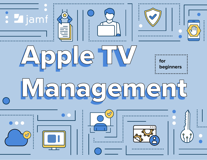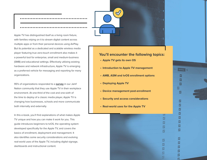

Apple TV has distinguished itself as a living room fixture, with families relying on it to stream digital content across multiple apps or from their personal devices using AirPlay. But its potential as a dedicated and scalable wireless media player featuring true zero-touch enrollment also makes it a powerful tool for enterprise, small and medium-business (SMB) and educational settings. Effectively utilizing existing hardware and network infrastructure, Apple TV is emerging as a preferred vehicle for messaging and reporting for many organizations.

95% of organizations responded to a **[survey](https://www.jamf.com/resources/white-papers/apple-tv-management-moving-business-forward/)** in our Jamf Nation community that they use Apple TV in their workplace environment. At one-third of the cost and one-sixth of the time to deploy of a classic media player, Apple TV is changing how businesses, schools and more communicate both internally and externally.

In this e-book, you'll find explanations of what makes Apple TV unique and how you can make it work for you. This guide introduces beginners to tvOS, the operating system developed specifically for the Apple TV, and covers the basics of enrollment, deployment and management. It also identifies some security considerations and evolving real-world uses of the Apple TV, including digital signage, dashboards and instructional content.



#### **You'll encounter the following topics:**

Get Pricing...

∣⊽ ☑ M ◘ M

> ⊡ ☑ M ⊠

> ø

M

☑

⊠

☑

☑

M

☑ ☑

 $\overline{z}$ 

M

☑

☑

⊠

ø

Ø

Ø

図

匢

- **• Apple TV gets its own OS**
- **• Introduction to Apple TV management**
- **• AMB, ASM and tvOS enrollment options**
- **• Deploying Apple TV**
- **• Device management post-enrollment**
- **• Security and access considerations**
- **• Real-world uses for the Apple TV**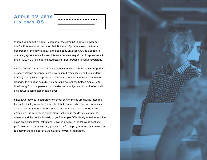# **Apple TV gets its own OS**

When it debuted, the Apple TV ran off of the same iOS operating system in use for iPhone and, at that time, iPad. But when Apple released the fourth generation of the device in 2015, the company unveiled tvOS as a separate operating system. While its user interface remains very similar in appearance to that of iOS, tvOS has differentiated itself further through subsequent versions.

tvOS is designed to enable the unique functionality of the Apple TV, supporting a variety of large-screen formats, several input types (including the standard remote) and dynamic displays of cinematic screensavers or user-designated signage. Its evolution as a distinct operating system has helped Apple TV to break away from the personal mobile device paradigm and to work effectively as a network-connected media player.

Since tvOS devices in corporate or school environments are usually intended for public display of content, it is critical that IT admins be able to control user access and permissions. tvOS is built to accommodate these needs while enabling a true zero-touch deployment: just plug in the device, connect to ethernet and the device is ready to go. The Apple TV is ideally suited to function as an enterprise-level, institutionally owned device. In the following sections, you'll learn about how and why you can use Apple programs and Jamf solutions to easily manage a fleet of tvOS devices for your organization.

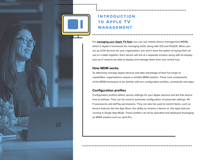# **Introduction to Apple TV MANAGEMENT**

For **[managing your Apple TV fleet](https://www.jamf.com/solutions/device-management/)**, you can use mobile device management (MDM), which is Apple's framework for managing tvOS, along with iOS and iPadOS. When you set up tvOS devices for your organization, you won't have the option of laying them all out on a table together. Each device will live at a separate location along with its display, and you'll need to be able to deploy and manage them from one central hub.

#### **How MDM works**

To effectively manage Apple devices and take advantage of their full range of capabilities, organizations require a reliable MDM solution. Three core components of the MDM framework to be familiar with are configuration profiles, commands and apps.

#### **Configuration profiles**

Configuration profiles define various settings for your Apple devices and tell that device how to behave. They can be used to automate configuration of passcode settings, Wi-Fi passwords and AirPlay permissions. They can also be used to restrict items, such as device features like the App Store, the ability to rename a device or the apps that are running in Single App Mode. These profiles can all be specified and deployed leveraging an MDM solution such as Jamf Pro.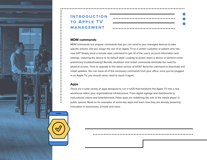

# **Introduction to Apple TV MANAGEMENT**

#### **MDM commands**

MDM commands are singular commands that you can send to your managed devices to take specific actions. Did you assign the use of an Apple TV to a certain customer or patient who has now left? Simply issue a remote wipe command to get rid of the user's account information and settings, restoring the device to its default state. Looking to power down a device or perform some preliminary troubleshooting? Remote shutdown and restart commands eliminate the need for physical access. Time to upgrade to the latest version of tvOS? Send the command to download and install updates. You can issue all of the necessary commands from your office; once you've plugged in an Apple TV, you should never need to touch it again.

#### **Apps**

There are a wide variety of apps designed to run in tvOS that transform the Apple TV into a real workhorse within your organizational infrastructure. From digital signage and dashboards to instructional videos and entertainment, these apps are redefining the role of the media player in public spaces. Read on for examples of some key apps and learn how they are already powering innovation in businesses, schools and more.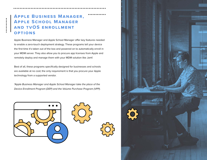# **Apple Business Manager, Apple School Manager and tvOS enrollment options**

Apple Business Manager and Apple School Manager offer key features needed to enable a zero-touch deployment strategy. These programs tell your device the first time it's taken out of the box and powered on to automatically enroll in your MDM server. They also allow you to procure app licenses from Apple and remotely deploy and manage them with your MDM solution like Jamf.

Best of all, these programs specifically designed for businesses and schools are available at no cost; the only requirement is that you procure your Apple technology from a supported vendor.

*\*Apple Business Manager and Apple School Manager take the place of the Device Enrollment Program (DEP) and the Volume Purchase Program (VPP).*



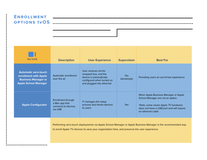### **Enrollment options tvOS**

| For tyOS                                                                                                          | <b>Description</b>                                                                                                                                                                                          | <b>User Experience</b>                                                                                                             | <b>Supervision</b>   | <b>Best For</b>                                                                                                                                                                   |
|-------------------------------------------------------------------------------------------------------------------|-------------------------------------------------------------------------------------------------------------------------------------------------------------------------------------------------------------|------------------------------------------------------------------------------------------------------------------------------------|----------------------|-----------------------------------------------------------------------------------------------------------------------------------------------------------------------------------|
| <b>Automatic zero-touch</b><br>enrollment with Apple<br><b>Business Manager or</b><br><b>Apple School Manager</b> | Automatic enrollment<br>over the air                                                                                                                                                                        | User receives shrink-<br>wrapped box, and the<br>device is automatically<br>configured when turned on<br>and plugged into ethernet | Yes.<br>(wirelessly) | Providing users an out-of-box experience                                                                                                                                          |
| <b>Apple Configurator</b>                                                                                         | Enrollment through<br>a Mac app that<br>connects to devices<br>via USB                                                                                                                                      | IT manages the setup<br>process and hands devices<br>to users                                                                      | Yes                  | When Apple Business Manager or Apple<br>School Manager are not an option<br>*Note, some newer Apple TV hardware<br>does not have a USB port and will require<br>an ethernet cable |
|                                                                                                                   | Performing zero-touch deployments via Apple School Manager or Apple Business Manager is the recommended way<br>to enroll Apple TV devices to save your organization time, and preserve the user experience. |                                                                                                                                    |                      |                                                                                                                                                                                   |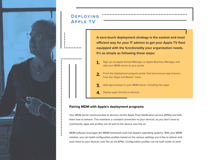

# **Deploying Apple TV**

**A zero-touch deployment strategy is the easiest and most efficient way for your IT admins to get your Apple TV fleet equipped with the functionality your organization needs. It's as simple as following these steps:**

- Sign up via Apple School Manager or Apple Business Manager and add your MDM server to your portal. 1.
- From the deployment program portal, find and procure app licenses from the "Apps and Books" menu. 2.
- Add app licenses to your MDM server, including free apps. 3.
- **4.** Deploy apps directly to devices.

### **Pairing MDM with Apple's deployment programs**

Your MDM server communicates to devices via the Apple Push Notification service (APNs) and tells them how to behave. This maintains a constant connection to your devices, so you don't have to. Commands, apps and profiles are all sent to the device over the air.

MDM software leverages the MDM framework built into Apple's operating systems. With your MDM solution, you can build configuration profiles based on the various settings you'd like to deliver and push them to your devices over the air via APNs. Configuration profiles can be built inside of Jamf.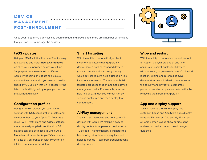# **Device MANAGEMENT post-enrollment**

Once your fleet of tvOS devices has been enrolled and provisioned, there are a number of functions that you can use to manage the devices.

#### **tvOS updates**

Using an MDM solution like Jamf Pro, it's easy to download and install **[new tvOS updates](https://docs.jamf.com/best-practice-workflows/jamf-pro/managing-tvos-updates/Updating_tvOS.html)** on all of your supervised devices at a time. Simply perform a search to identify each Apple TV needing an update and issue a mass action command. If you want to install a specific tvOS version that isn't necessarily the latest but is still signed by Apple, you can do that without difficulty.

#### **Configuration profiles**

Using an MDM solution, you can define settings with tvOS configuration profiles and distribute them to your Apple TV fleet. As a result, Wi-Fi, restrictions and AirPlay settings are more easily applied over the air. tvOS devices can also be placed in Single App Mode to customize the Apple TV experience by class or Conference Display Mode for an intuitive presentation workflow.

#### **Smart targeting**

With the ability to automatically collect inventory details, including Apple TV device names from all managed devices, you can quickly and accurately identify which devices require action. Based on this inventory information, IT admins can build targeted groups to trigger automatic device management tasks. For example, you can now find all tvOS devices without AirPlay settings configured and then deploy that configuration.

#### **AirPlay management**

You can mass associate and configure iOS devices with Apple TV, making it easy to display content from personal devices on a TV screen. This functionality eliminates the hassle of syncing devices every time and helps to free up IT staff from troubleshooting display issues.



#### **Wipe and restart**

With the ability to remotely wipe and re-boot an Apple TV anywhere and at any time, admins can easily troubleshoot devices without having to go to each device's physical location. Wiping and re-enrolling tvOS devices after users finish with them ensures the security and privacy of usernames, passwords and other personal information by removing them from the Apple TV.

#### **App and display support**

You can leverage MDM to deploy both custom in-house and App Store apps directly to Apple TV devices. Additionally, IT can set a Home Screen layout, show or hide apps and restrict media content based on age guidance.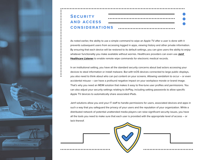

# **Security and access considerations**

As noted earlier, the ability to use a simple command to wipe an Apple TV after a user is done with it prevents subsequent users from accessing logged in apps, viewing history and other private information. By ensuring that each device will be restored to its default settings, you can give users the ability to enjoy whatever functionality you make available without worries. Healthcare providers can even use **[Jamf](https://marketplace.jamf.com/details/jamf-healthcare-listener/)  [Healthcare Listener](https://marketplace.jamf.com/details/jamf-healthcare-listener/)** to enable remote wipe commands for electronic medical records.

In an institutional setting, you have all the standard security concerns about bad actors accessing your devices to steal information or install malware. But with tvOS devices connected to large public displays, you also need to think about who can put content on your screens. Allowing vandalism to occur – or even accidental misuse – can have a profound negative impact on your workplace morale or brand image. That's why you need an MDM solution that makes it easy to fine-tune user profiles and permissions. You can also adjust your security settings relating to AirPlay, including setting passwords to allow specific Apple TV devices to automatically share associated iPads.

Jamf solutions allow you and your IT staff to handle permissions for users, associated devices and apps in such a way that you safeguard the privacy of your users and the reputation of your organization. While a distributed network of potential unattended media players can raise significant security issues, you have all the tools you need to make sure that each user is provided with the appropriate level of access – or lack thereof.

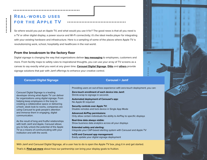# **Real-world uses for the Apple TV**

So where would you put an Apple TV, and what would you use it for? The good news is that all you need is a TV or other digital display, a power source and Wi-Fi connectivity; it's the ideal media player for integrating with your existing hardware and infrastructure. Here is a sampling of some of the places where Apple TV is revolutionizing work, school, hospitality and healthcare in the real world.

#### **From the breakroom to the factory floor**

Digital signage is changing the way that organizations deliver **[key messaging](https://www.jamf.com/resources/case-studies/pallet-service-corporation/)** to employees, customers and more. From facility maps to safety rules to inspirational thoughts, you can use your array of TV screens as a canvas to say exactly what you want at any given time. **Carousel Digital [Signage](https://marketplace.jamf.com/details/carousel-digital-signage/)**, **[Ditto](https://marketplace.jamf.com/details/ditto-receiver/)** and **[others](https://marketplace.jamf.com/apps/?operating-system=tvOS&tags=Digital%20Signage)** provide signage solutions that pair with Jamf offerings to enhance your creative control.

| <b>Carousel Digital Signage</b>                                                                                                                                                                                                                                                                                                                                                                                                                                                                                                                                                                                         | <b>Carousel + Jamf</b>                                                                                                                                                                                                                                                                                                                                                                                                                                                                                                                                                                                                                                                                                                                                          |
|-------------------------------------------------------------------------------------------------------------------------------------------------------------------------------------------------------------------------------------------------------------------------------------------------------------------------------------------------------------------------------------------------------------------------------------------------------------------------------------------------------------------------------------------------------------------------------------------------------------------------|-----------------------------------------------------------------------------------------------------------------------------------------------------------------------------------------------------------------------------------------------------------------------------------------------------------------------------------------------------------------------------------------------------------------------------------------------------------------------------------------------------------------------------------------------------------------------------------------------------------------------------------------------------------------------------------------------------------------------------------------------------------------|
| Carousel Digital Signage is a leading<br>developer driving what Apple TV can deliver<br>for organizations using digital signage. From<br>helping keep employees in the loop to<br>creating a collaborative space or delivering<br>a fresh, sleek look to rooms, companies are<br>using Carousel to grab people's attention<br>and immerse them in engaging, digital<br>communication.<br>As the result of long and fruitful relationships<br>with both Jamf and Apple, Carousel allows<br>you to fully unlock the potential of the Apple<br>TV as a means of communicating with your<br>institution and with the world. | Providing users an out-of-box experience with zero-touch deployment, you can:<br>Zero-touch enrollment of each device into Jamf:<br>Shrink-wrap to signage in seconds<br>Automated deployment of Carousel's app:<br>No Apple ID required<br><b>Security controls over Apple TV:</b><br>Disable remotes and lock device in Single App Mode<br><b>Advanced AirPlay permissions:</b><br>Only allow certain individuals the ability to AirPlay to specific displays<br>Real-time data always visible:<br>Show business data analytics across all your displays<br><b>Extended safety and alerting:</b><br>Integrate your CAP-based alerting system with Carousel and Apple TV<br>tvOS and Carousel app management:<br>Easily update your digital signage deployment |

**Billiam** 

**FI** 

四四四四

With Jamf and Carousel Digital Signage, all a user has to do is open the Apple TV box, plug it in and get started. That's it. **[Find out more](https://resources.jamf.com/documents/Channel/transform_communication_through_digital_signage.pdf)** about how our partnership can bring your display goals to fruition.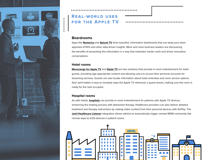

# **Real-world uses for the Apple TV**



Apps like **[Numerics](https://marketplace.jamf.com/details/numerics/)** and **[Splunk TV](https://apps.apple.com/us/app/splunk-tv/id1420233637)** drive beautiful, informative dashboards that can keep your team apprised of KPIs and other data-driven insights. More and more business leaders are discovering the benefits of presenting this information in a way that motivates harder work and drives innovative conversations.

#### **Hotel rooms**

**[Monscierge for Apple TV](https://marketplace.jamf.com/details/monscierge-s-apple-tv-for-hospitality/)** and **[Glyde TV](https://marketplace.jamf.com/details/glyde-tv/)** are two solutions that provide in-room entertainment for hotel guests, providing age-appropriate content and allowing users to access their personal accounts for streaming services. Guests can also locate information about hotel amenities and room service options. And Jamf makes it easy to remotely wipe the Apple TV whenever a guest leaves, making sure the room is ready for the next occupant.

#### **Hospital rooms**

As with hotels, **[hospitals](https://www.jamf.com/resources/videos/university-of-utah-health-uses-digital-signage-platform-for-patient-education-and-general-well-being/)** can provide in-room entertainment for patients with Apple TV devices, enhancing the healing process with distraction therapy. Healthcare providers can also deliver detailed treatment and therapy instructions by casting video content from their personal devices with AirPlay. The **[Jamf Healthcare Listener](https://marketplace.jamf.com/details/jamf-healthcare-listener/)** integration allows admins to automatically trigger remote MDM commands like remote wipe to tvOS devices in patient rooms.

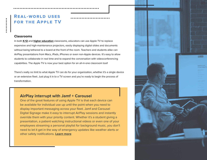## **Real-world uses for the Apple TV**

#### **Classrooms**

In both **[K-12](https://resources.jamf.com/documents/white-papers/apple-tv-management-moving-education-forward.pdf)** and **[higher education](https://resources.jamf.com/documents/white-papers/apple-tv-management-moving-higher-education-forward.pdf)** classrooms, educators can use Apple TV to replace expensive and high-maintenance projectors, easily displaying digital slides and documents without being tethered to a board at the front of the room. Teachers and students alike can AirPlay presentations from Macs, iPads, iPhones or even non-Apple devices. It's easy to allow students to collaborate in real time and to expand the conversation with videoconferencing capabilities. The Apple TV is now your best option for an all-in-one classroom tool!

There's really no limit to what Apple TV can do for your organization, whether it's a single device or an extensive fleet. Just plug it in to a TV screen and you're ready to begin the process of transformation.

### **AirPlay interrupt with Jamf + Carousel**

One of the great features of using Apple TV is that each device can be available for individual use up until the point when you need to display important messaging across your fleet. Jamf and Carousel Digital Signage make it easy to interrupt AirPlay sessions and instantly override them with your priority content. Whether it's a student giving a presentation, a patient watching instructional videos or even one of your employees streaming a personal playlist for background music, you don't need to let it get in the way of emergency updates like weather alerts or other safety notifications. **[Learn more](https://marketplace.jamf.com/details/carousel-digital-signage/)**